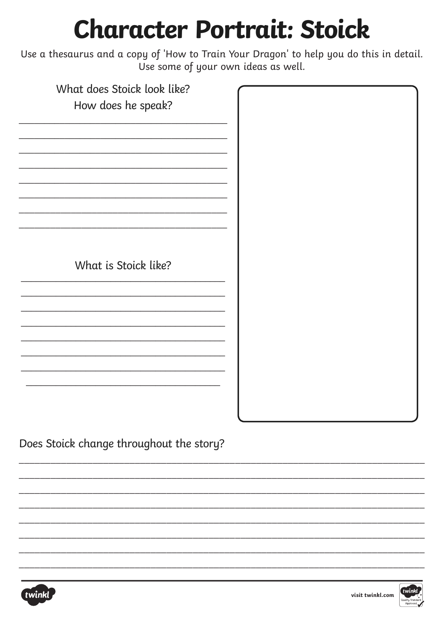## **Character Portrait: Stoick**

Use a thesaurus and a copy of 'How to Train Your Dragon' to help you do this in detail. Use some of your own ideas as well.

| What does Stoick look like? |  |
|-----------------------------|--|
| How does he speak?          |  |
|                             |  |
|                             |  |
|                             |  |
|                             |  |
|                             |  |
|                             |  |
|                             |  |
|                             |  |
|                             |  |
|                             |  |
|                             |  |
|                             |  |
| What is Stoick like?        |  |
|                             |  |
|                             |  |
|                             |  |
|                             |  |
|                             |  |
|                             |  |
|                             |  |
|                             |  |
|                             |  |
|                             |  |
|                             |  |
|                             |  |
|                             |  |

Does Stoick change throughout the story?



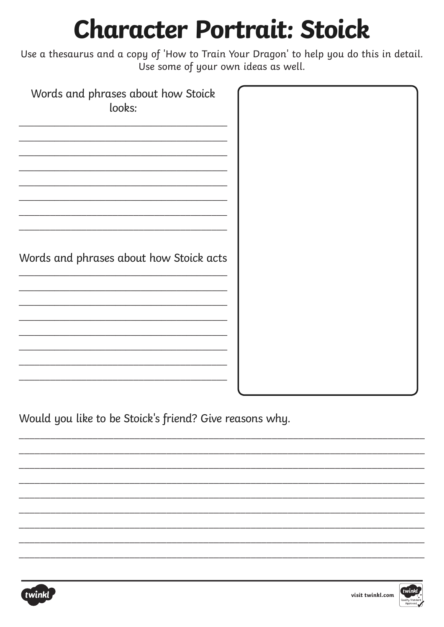## **Character Portrait: Stoick**

Use a thesaurus and a copy of 'How to Train Your Dragon' to help you do this in detail. Use some of your own ideas as well.

| Words and phrases about how Stoick<br>looks: |  |
|----------------------------------------------|--|
| Words and phrases about how Stoick acts      |  |
|                                              |  |

Would you like to be Stoick's friend? Give reasons why.